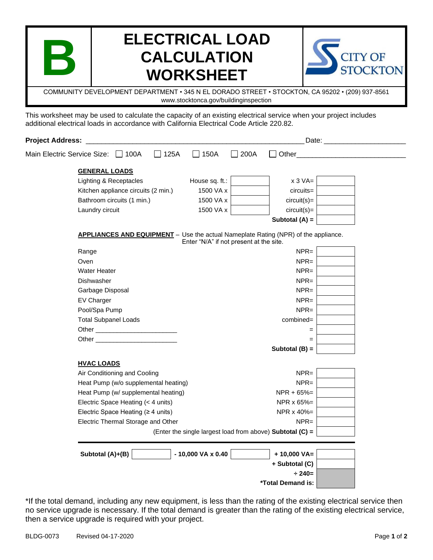## **ELECTRICAL LOAD CALCULATION WORKSHEET**



COMMUNITY DEVELOPMENT DEPARTMENT • 345 N EL DORADO STREET • STOCKTON, CA 95202 • (209) 937-8561 www.stocktonca.gov/buildinginspection

This worksheet may be used to calculate the capacity of an existing electrical service when your project includes additional electrical loads in accordance with California Electrical Code Article 220.82.

| <b>Project Address:</b> |                                                                                                                                                                                                                                     |                                                           | Date: and the contract of the contract of the contract of the contract of the contract of the contract of the contract of the contract of the contract of the contract of the contract of the contract of the contract of the |                   |  |  |
|-------------------------|-------------------------------------------------------------------------------------------------------------------------------------------------------------------------------------------------------------------------------------|-----------------------------------------------------------|-------------------------------------------------------------------------------------------------------------------------------------------------------------------------------------------------------------------------------|-------------------|--|--|
|                         | 125A<br>Main Electric Service Size: 100A                                                                                                                                                                                            | 150A                                                      | 200A                                                                                                                                                                                                                          | Other             |  |  |
|                         | <b>GENERAL LOADS</b>                                                                                                                                                                                                                |                                                           |                                                                                                                                                                                                                               |                   |  |  |
|                         | Lighting & Receptacles                                                                                                                                                                                                              | House sq. ft.:                                            |                                                                                                                                                                                                                               | $x 3 VA =$        |  |  |
|                         | Kitchen appliance circuits (2 min.)                                                                                                                                                                                                 | 1500 VA x                                                 |                                                                                                                                                                                                                               | $circuits =$      |  |  |
|                         | Bathroom circuits (1 min.)                                                                                                                                                                                                          | 1500 VA x                                                 |                                                                                                                                                                                                                               | $circuit(s) =$    |  |  |
|                         | Laundry circuit                                                                                                                                                                                                                     | 1500 VA x                                                 |                                                                                                                                                                                                                               | $circuit(s) =$    |  |  |
|                         |                                                                                                                                                                                                                                     |                                                           |                                                                                                                                                                                                                               | Subtotal $(A)$ =  |  |  |
|                         | <b>APPLIANCES AND EQUIPMENT</b> - Use the actual Nameplate Rating (NPR) of the appliance.                                                                                                                                           | Enter "N/A" if not present at the site.                   |                                                                                                                                                                                                                               |                   |  |  |
|                         | Range                                                                                                                                                                                                                               |                                                           |                                                                                                                                                                                                                               | $NPR =$           |  |  |
|                         | Oven                                                                                                                                                                                                                                |                                                           |                                                                                                                                                                                                                               | $NPR =$           |  |  |
|                         | <b>Water Heater</b>                                                                                                                                                                                                                 |                                                           |                                                                                                                                                                                                                               | $NPR =$           |  |  |
|                         | Dishwasher                                                                                                                                                                                                                          |                                                           |                                                                                                                                                                                                                               | $NPR =$           |  |  |
|                         | Garbage Disposal                                                                                                                                                                                                                    |                                                           |                                                                                                                                                                                                                               | $NPR =$           |  |  |
|                         | <b>EV Charger</b>                                                                                                                                                                                                                   |                                                           |                                                                                                                                                                                                                               | $NPR =$           |  |  |
|                         | Pool/Spa Pump                                                                                                                                                                                                                       |                                                           |                                                                                                                                                                                                                               | $NPR =$           |  |  |
|                         | <b>Total Subpanel Loads</b>                                                                                                                                                                                                         |                                                           |                                                                                                                                                                                                                               | combined=         |  |  |
|                         |                                                                                                                                                                                                                                     |                                                           |                                                                                                                                                                                                                               | $=$               |  |  |
|                         | Other <b>Development</b> Changes and Changes of the Changes of the Changes of the Changes of the Changes of the Changes of the Changes of the Changes of the Changes of the Changes of the Changes of the Changes of the Changes of |                                                           |                                                                                                                                                                                                                               | $=$               |  |  |
|                         |                                                                                                                                                                                                                                     |                                                           |                                                                                                                                                                                                                               | Subtotal (B) =    |  |  |
|                         | <b>HVAC LOADS</b>                                                                                                                                                                                                                   |                                                           |                                                                                                                                                                                                                               |                   |  |  |
|                         | Air Conditioning and Cooling                                                                                                                                                                                                        |                                                           |                                                                                                                                                                                                                               | $NPR =$           |  |  |
|                         | Heat Pump (w/o supplemental heating)                                                                                                                                                                                                |                                                           |                                                                                                                                                                                                                               | $NPR =$           |  |  |
|                         | Heat Pump (w/ supplemental heating)                                                                                                                                                                                                 |                                                           |                                                                                                                                                                                                                               | $NPR + 65% =$     |  |  |
|                         | Electric Space Heating (< 4 units)                                                                                                                                                                                                  |                                                           |                                                                                                                                                                                                                               | NPR x 65%=        |  |  |
|                         | Electric Space Heating ( $\geq 4$ units)                                                                                                                                                                                            |                                                           |                                                                                                                                                                                                                               | NPR x 40%=        |  |  |
|                         | Electric Thermal Storage and Other                                                                                                                                                                                                  |                                                           |                                                                                                                                                                                                                               |                   |  |  |
|                         |                                                                                                                                                                                                                                     | (Enter the single largest load from above) Subtotal (C) = |                                                                                                                                                                                                                               |                   |  |  |
|                         | Subtotal (A)+(B)                                                                                                                                                                                                                    | - 10,000 VA x 0.40                                        |                                                                                                                                                                                                                               | $+ 10,000 VA =$   |  |  |
|                         |                                                                                                                                                                                                                                     |                                                           |                                                                                                                                                                                                                               | + Subtotal (C)    |  |  |
|                         |                                                                                                                                                                                                                                     |                                                           |                                                                                                                                                                                                                               | $\div 240=$       |  |  |
|                         |                                                                                                                                                                                                                                     |                                                           |                                                                                                                                                                                                                               | *Total Demand is: |  |  |
|                         |                                                                                                                                                                                                                                     |                                                           |                                                                                                                                                                                                                               |                   |  |  |

\*If the total demand, including any new equipment, is less than the rating of the existing electrical service then no service upgrade is necessary. If the total demand is greater than the rating of the existing electrical service, then a service upgrade is required with your project.